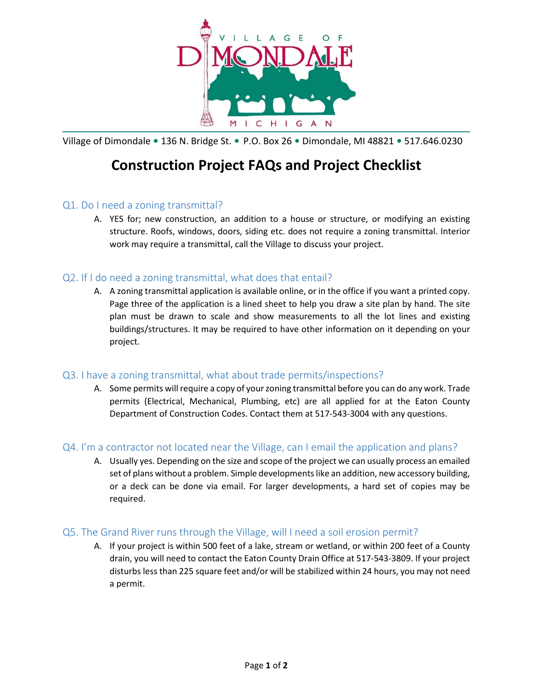

Village of Dimondale • 136 N. Bridge St. • P.O. Box 26 • Dimondale, MI 48821 • 517.646.0230

# **Construction Project FAQs and Project Checklist**

# Q1. Do I need a zoning transmittal?

A. YES for; new construction, an addition to a house or structure, or modifying an existing structure. Roofs, windows, doors, siding etc. does not require a zoning transmittal. Interior work may require a transmittal, call the Village to discuss your project.

# Q2. If I do need a zoning transmittal, what does that entail?

A. A zoning transmittal application is available online, or in the office if you want a printed copy. Page three of the application is a lined sheet to help you draw a site plan by hand. The site plan must be drawn to scale and show measurements to all the lot lines and existing buildings/structures. It may be required to have other information on it depending on your project.

#### Q3. I have a zoning transmittal, what about trade permits/inspections?

A. Some permits will require a copy of your zoning transmittal before you can do any work. Trade permits (Electrical, Mechanical, Plumbing, etc) are all applied for at the Eaton County Department of Construction Codes. Contact them at 517-543-3004 with any questions.

# Q4. I'm a contractor not located near the Village, can I email the application and plans?

A. Usually yes. Depending on the size and scope of the project we can usually process an emailed set of plans without a problem. Simple developments like an addition, new accessory building, or a deck can be done via email. For larger developments, a hard set of copies may be required.

#### Q5. The Grand River runs through the Village, will I need a soil erosion permit?

A. If your project is within 500 feet of a lake, stream or wetland, or within 200 feet of a County drain, you will need to contact the Eaton County Drain Office at 517-543-3809. If your project disturbs less than 225 square feet and/or will be stabilized within 24 hours, you may not need a permit.